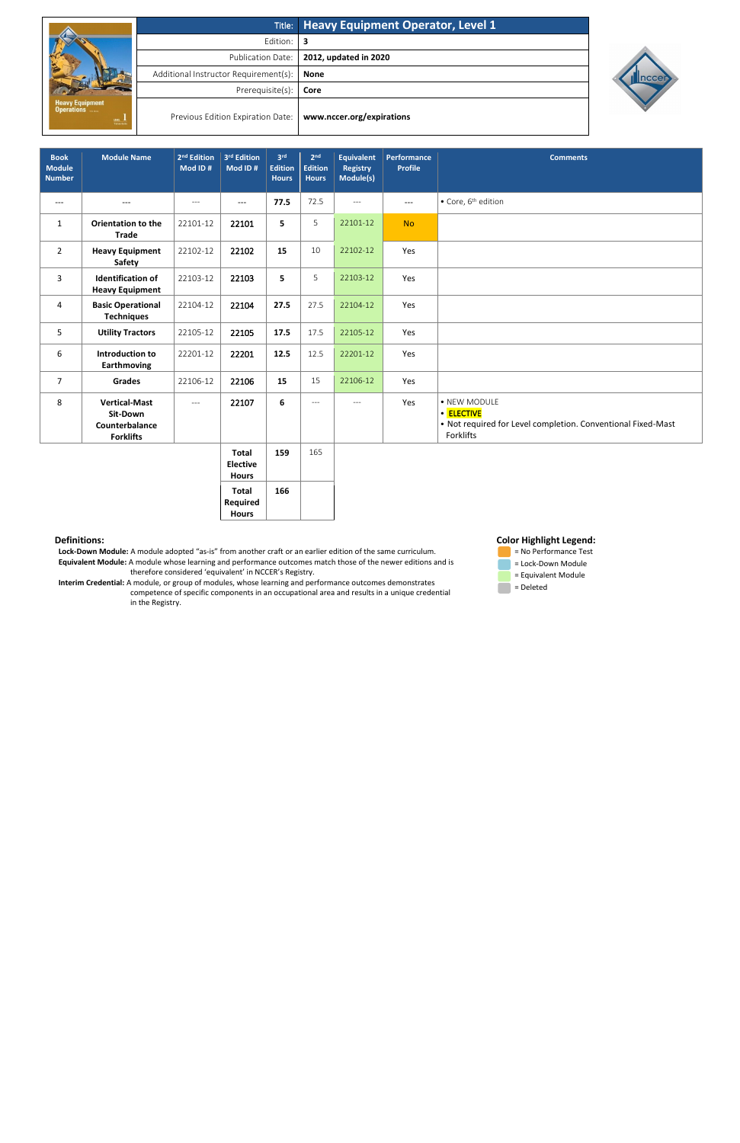|                                          |                                       | Title: Heavy Equipment Operator, Level 1 |  |  |
|------------------------------------------|---------------------------------------|------------------------------------------|--|--|
|                                          | Edition:                              |                                          |  |  |
|                                          | <b>Publication Date:</b>              | 2012, updated in 2020                    |  |  |
|                                          | Additional Instructor Requirement(s): | None                                     |  |  |
|                                          | Prerequisite(s):                      | Core                                     |  |  |
| Heavy Equipment<br>Operations<br>LEVEL 1 | Previous Edition Expiration Date:     | www.nccer.org/expirations                |  |  |



## **Definitions:**

 **Lock-Down Module:** A module adopted "as-is" from another craft or an earlier edition of the same curriculum. **Equivalent Module:** A module whose learning and performance outcomes match those of the newer editions and is therefore considered 'equivalent' in NCCER's Registry.

 **Interim Credential:** A module, or group of modules, whose learning and performance outcomes demonstrates competence of specific components in an occupational area and results in a unique credential in the Registry.

## **Color Highlight Legend:**



| <b>Book</b><br><b>Module</b><br><b>Number</b> | <b>Module Name</b>                                                     | 2 <sup>nd</sup> Edition<br>Mod ID# | 3 <sup>rd</sup> Edition<br>Mod ID# | 3 <sup>rd</sup><br><b>Edition</b><br><b>Hours</b> | 2 <sub>nd</sub><br><b>Edition</b><br><b>Hours</b> | <b>Equivalent</b><br><b>Registry</b><br>Module(s) | <b>Performance</b><br><b>Profile</b> | <b>Comments</b>                                                                                         |
|-----------------------------------------------|------------------------------------------------------------------------|------------------------------------|------------------------------------|---------------------------------------------------|---------------------------------------------------|---------------------------------------------------|--------------------------------------|---------------------------------------------------------------------------------------------------------|
| $---$                                         | $---$                                                                  | $---$                              | $---$                              | 77.5                                              | 72.5                                              | $---$                                             | $---$                                | • Core, 6 <sup>th</sup> edition                                                                         |
| $\mathbf{1}$                                  | <b>Orientation to the</b><br><b>Trade</b>                              | 22101-12                           | 22101                              | 5                                                 | 5                                                 | 22101-12                                          | <b>No</b>                            |                                                                                                         |
| $\overline{2}$                                | <b>Heavy Equipment</b><br>Safety                                       | 22102-12                           | 22102                              | 15                                                | 10                                                | 22102-12                                          | Yes                                  |                                                                                                         |
| 3                                             | <b>Identification of</b><br><b>Heavy Equipment</b>                     | 22103-12                           | 22103                              | 5                                                 | 5                                                 | 22103-12                                          | Yes                                  |                                                                                                         |
| 4                                             | <b>Basic Operational</b><br><b>Techniques</b>                          | 22104-12                           | 22104                              | 27.5                                              | 27.5                                              | 22104-12                                          | Yes                                  |                                                                                                         |
| 5                                             | <b>Utility Tractors</b>                                                | 22105-12                           | 22105                              | 17.5                                              | 17.5                                              | 22105-12                                          | Yes                                  |                                                                                                         |
| 6                                             | Introduction to<br><b>Earthmoving</b>                                  | 22201-12                           | 22201                              | 12.5                                              | 12.5                                              | 22201-12                                          | Yes                                  |                                                                                                         |
| $\overline{7}$                                | <b>Grades</b>                                                          | 22106-12                           | 22106                              | 15                                                | 15                                                | 22106-12                                          | Yes                                  |                                                                                                         |
| 8                                             | <b>Vertical-Mast</b><br>Sit-Down<br>Counterbalance<br><b>Forklifts</b> | $---$                              | 22107                              | 6                                                 | $---$                                             | $---$                                             | Yes                                  | • NEW MODULE<br>• ELECTIVE<br>• Not required for Level completion. Conventional Fixed-Mast<br>Forklifts |
|                                               |                                                                        |                                    | <b>Total</b><br><b>Flective</b>    | 159                                               | 165                                               |                                                   |                                      |                                                                                                         |

**Elective Hours Total Required Hours 166**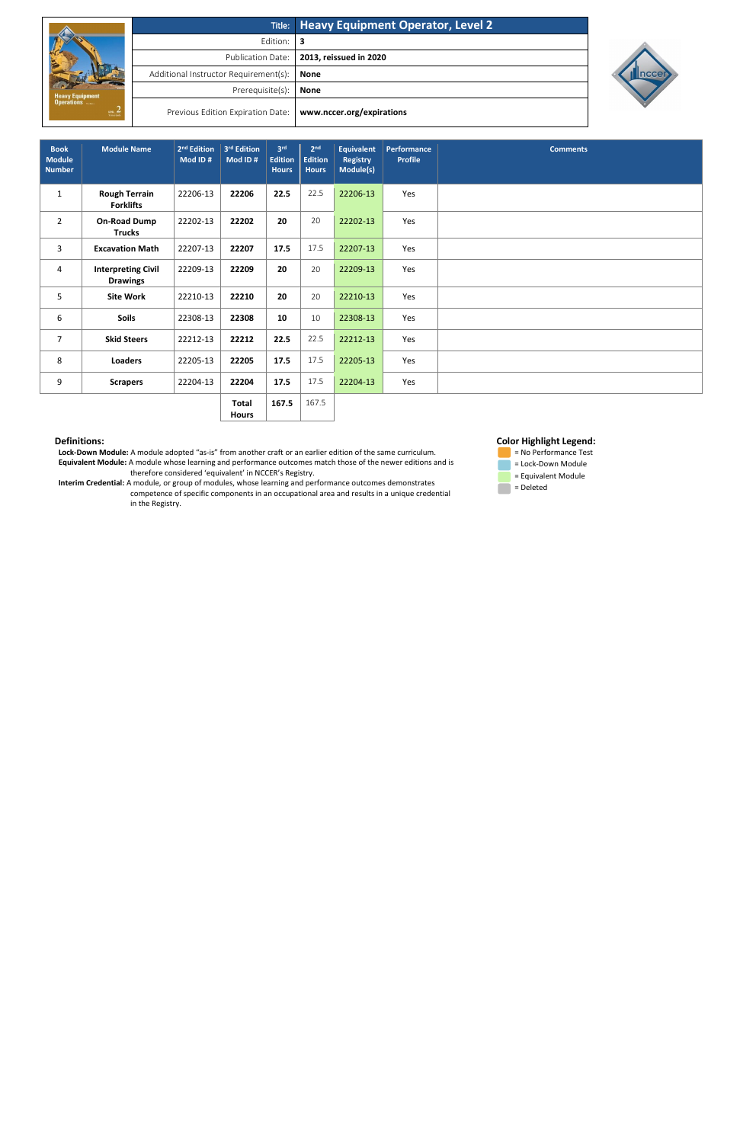|                                                                  |                                       | Title: Heavy Equipment Operator, Level 2 |
|------------------------------------------------------------------|---------------------------------------|------------------------------------------|
|                                                                  | Edition:                              | В                                        |
|                                                                  | <b>Publication Date:</b>              | 2013, reissued in 2020                   |
| <b>Heavy Equipment</b><br>Operations<br>$\frac{um}{\frac{1}{2}}$ | Additional Instructor Requirement(s): | <b>None</b>                              |
|                                                                  | Prerequisite(s):                      | <b>None</b>                              |
|                                                                  | Previous Edition Expiration Date:     | www.nccer.org/expirations                |



## **Definitions:**

 **Lock-Down Module:** A module adopted "as-is" from another craft or an earlier edition of the same curriculum. **Equivalent Module:** A module whose learning and performance outcomes match those of the newer editions and is therefore considered 'equivalent' in NCCER's Registry.

 **Interim Credential:** A module, or group of modules, whose learning and performance outcomes demonstrates competence of specific components in an occupational area and results in a unique credential in the Registry.





| <b>Book</b><br><b>Module</b><br><b>Number</b> | <b>Module Name</b>                           | 2 <sup>nd</sup> Edition<br>Mod ID# | 3rd Edition<br>Mod ID# | 3rd<br><b>Edition</b><br><b>Hours</b> | 2 <sub>nd</sub><br><b>Edition</b><br><b>Hours</b> | <b>Equivalent</b><br><b>Registry</b><br>Module(s) | Performance<br><b>Profile</b> | <b>Comments</b> |
|-----------------------------------------------|----------------------------------------------|------------------------------------|------------------------|---------------------------------------|---------------------------------------------------|---------------------------------------------------|-------------------------------|-----------------|
| $\mathbf{1}$                                  | <b>Rough Terrain</b><br><b>Forklifts</b>     | 22206-13                           | 22206                  | 22.5                                  | 22.5                                              | 22206-13                                          | Yes                           |                 |
| $\overline{2}$                                | <b>On-Road Dump</b><br><b>Trucks</b>         | 22202-13                           | 22202                  | 20                                    | 20                                                | 22202-13                                          | Yes                           |                 |
| $\overline{3}$                                | <b>Excavation Math</b>                       | 22207-13                           | 22207                  | 17.5                                  | 17.5                                              | 22207-13                                          | Yes                           |                 |
| 4                                             | <b>Interpreting Civil</b><br><b>Drawings</b> | 22209-13                           | 22209                  | 20                                    | 20                                                | 22209-13                                          | Yes                           |                 |
| 5                                             | <b>Site Work</b>                             | 22210-13                           | 22210                  | 20                                    | 20                                                | 22210-13                                          | Yes                           |                 |
| 6                                             | Soils                                        | 22308-13                           | 22308                  | 10                                    | 10                                                | 22308-13                                          | Yes                           |                 |
| $\overline{7}$                                | <b>Skid Steers</b>                           | 22212-13                           | 22212                  | 22.5                                  | 22.5                                              | 22212-13                                          | Yes                           |                 |
| 8                                             | Loaders                                      | 22205-13                           | 22205                  | 17.5                                  | 17.5                                              | 22205-13                                          | Yes                           |                 |
| 9                                             | <b>Scrapers</b>                              | 22204-13                           | 22204                  | 17.5                                  | 17.5                                              | 22204-13                                          | Yes                           |                 |
|                                               |                                              |                                    | <b>Total</b>           | 167.5                                 | 167.5                                             |                                                   |                               |                 |

**Hours**